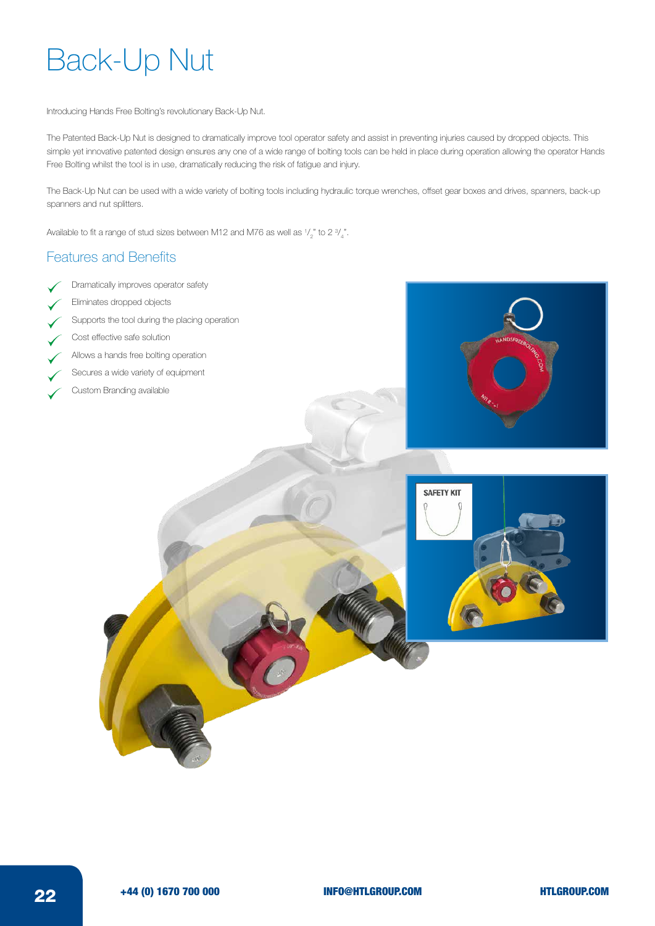## Back-Up Nut

Introducing Hands Free Bolting's revolutionary Back-Up Nut.

The Patented Back-Up Nut is designed to dramatically improve tool operator safety and assist in preventing injuries caused by dropped objects. This simple yet innovative patented design ensures any one of a wide range of bolting tools can be held in place during operation allowing the operator Hands Free Bolting whilst the tool is in use, dramatically reducing the risk of fatigue and injury.

The Back-Up Nut can be used with a wide variety of bolting tools including hydraulic torque wrenches, offset gear boxes and drives, spanners, back-up spanners and nut splitters.

Available to fit a range of stud sizes between M12 and M76 as well as  $\frac{1}{2}$ " to 2  $\frac{3}{4}$  $\mathcal{L}$ 

## Features and Benefits

- Dramatically improves operator safety
- Eliminates dropped objects
- Supports the tool during the placing operation
- Cost effective safe solution
- Allows a hands free bolting operation
- Secures a wide variety of equipment
- Custom Branding available